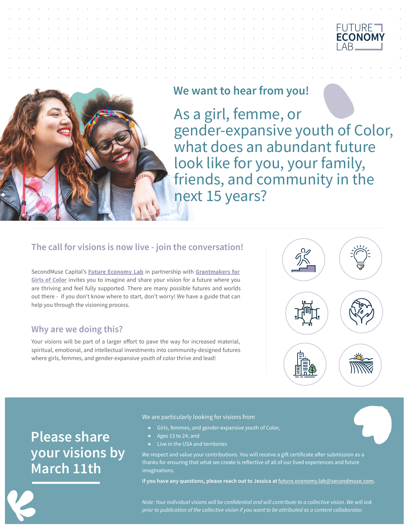



# **We want to hear from you!**

As a girl, femme, or gender-expansive youth of Color, what does an abundant future look like for you, your family, friends, and community in the next 15 years?

## **The call for visions is now live - join the conversation!**

SecondMuse Capital's **[Future Economy Lab](https://www.secondmuse.com/future-economy-lab/)** in partnership with **[Grantmakers for](https://grantmakersforgirlsofcolor.org/) [Girls of Color](https://grantmakersforgirlsofcolor.org/)** invites you to imagine and share your vision for a future where you are thriving and feel fully supported. There are many possible futures and worlds out there - if you don't know where to start, don't worry! We have a guide that can help you through the visioning process.

## **Why are we doing this?**

Your visions will be part of a larger effort to pave the way for increased material, spiritual, emotional, and intellectual investments into community-designed futures where girls, femmes, and gender-expansive youth of color thrive and lead!



# **Please share your visions by March 11th**

We are particularly looking for visions from

- Girls, femmes, and gender-expansive youth of Color,
- Ages 13 to 24, and
- Live in the USA and territories

We respect and value your contributions. You will receive a gift certificate after submission as a thanks for ensuring that what we create is reflective of all of our lived experiences and future imaginations.

**If you have any questions, please reach out to Jessica at [future.economy.lab@secondmuse.com](mailto:future.economy.lab@secondmuse.com).**

*Note: Your individual visions will be confidential and will contribute to a collective vision. We will ask prior to publication of the collective vision if you want to be attributed as a content collaborator.*